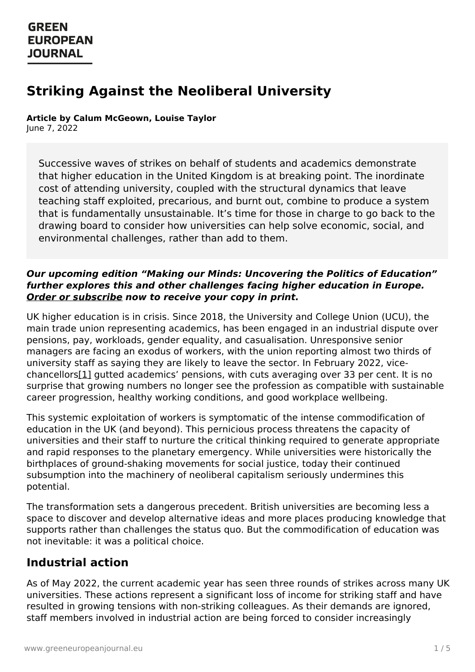# **Striking Against the Neoliberal University**

**Article by Calum McGeown, Louise Taylor**

June 7, 2022

Successive waves of strikes on behalf of students and academics demonstrate that higher education in the United Kingdom is at breaking point. The inordinate cost of attending university, coupled with the structural dynamics that leave teaching staff exploited, precarious, and burnt out, combine to produce a system that is fundamentally unsustainable. It's time for those in charge to go back to the drawing board to consider how universities can help solve economic, social, and environmental challenges, rather than add to them.

#### **Our upcoming edition "Making our Minds: Uncovering the Politics of Education" further explores this and other challenges facing higher education in Europe. Order or [subscribe](https://www.greeneuropeanjournal.eu/subscribe-order/) now to receive your copy in print.**

UK higher education is in crisis. Since 2018, the University and College Union (UCU), the main trade union representing academics, has been engaged in an industrial dispute over pensions, pay, workloads, gender equality, and casualisation. Unresponsive senior managers are facing an exodus of workers, with the union reporting almost two thirds of university staff as saying they are likely to leave the sector. In February 2022, vicechancellors[1] gutted academics' pensions, with cuts averaging over 33 per cent. It is no surprise that growing numbers no longer see the profession as compatible with sustainable career progression, healthy working conditions, and good workplace wellbeing.

<span id="page-0-0"></span>This systemic exploitation of workers is symptomatic of the intense commodification of education in the UK (and beyond). This pernicious process threatens the capacity of universities and their staff to nurture the critical thinking required to generate appropriate and rapid responses to the planetary emergency. While universities were historically the birthplaces of ground-shaking movements for social justice, today their continued subsumption into the machinery of neoliberal capitalism seriously undermines this potential.

The transformation sets a dangerous precedent. British universities are becoming less a space to discover and develop alternative ideas and more places producing knowledge that supports rather than challenges the status quo. But the commodification of education was not inevitable: it was a political choice.

### **[Industrial](https://www.greeneuropeanjournal.eu) action**

As of May 2022, the current academic year has seen three rounds of strikes across many UK universities. These actions represent a significant loss of income for striking staff and have resulted in growing tensions with non-striking colleagues. As their demands are ignored, staff members involved in industrial action are being forced to consider increasingly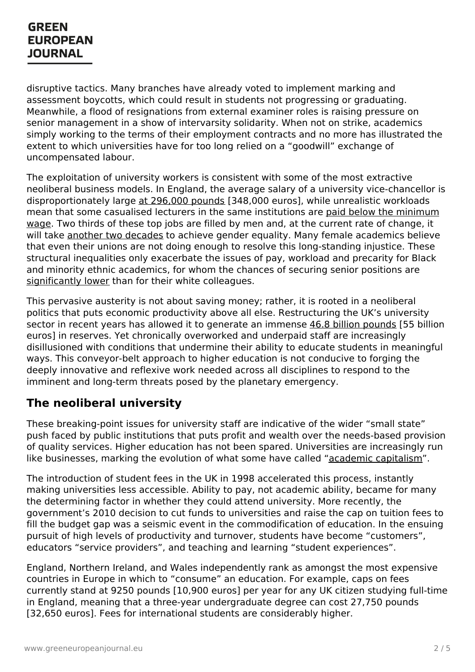disruptive tactics. Many branches have already voted to implement marking and assessment boycotts, which could result in students not progressing or graduating. Meanwhile, a flood of resignations from external examiner roles is raising pressure on senior management in a show of intervarsity solidarity. When not on strike, academics simply working to the terms of their employment contracts and no more has illustrated the extent to which universities have for too long relied on a "goodwill" exchange of uncompensated labour.

The exploitation of university workers is consistent with some of the most extractive neoliberal business models. In England, the average salary of a university vice-chancellor is disproportionately large at [296,000](https://www.ucu.org.uk/article/11865/Vice-chancellor-pay-exposes-cavernous-gap-between-staff--management) pounds [348,000 euros], while unrealistic workloads mean that some casualised lecturers in the same [institutions](https://www.ucu.org.uk/media/12532/UK-higher-education---a-workforce-in-crisis/pdf/UK_HE_Report_24_Mar22.pdf) are paid below the minimum wage. Two thirds of these top jobs are filled by men and, at the current rate of change, it will take another two [decades](https://www.fawcettsociety.org.uk/Handlers/Download.ashx?IDMF=9bd9edd3-bd86-4317-81a1-32350bb72b15) to achieve gender equality. Many female academics believe that even their unions are not doing enough to resolve this long-standing injustice. These structural inequalities only exacerbate the issues of pay, workload and precarity for Black and minority ethnic academics, for whom the chances of securing senior positions are [significantly](https://www.ucu.org.uk/article/10360/Black-academic-staff-face-double-whammy-in-promotion-and-pay-stakes) lower than for their white colleagues.

This pervasive austerity is not about saving money; rather, it is rooted in a neoliberal politics that puts economic productivity above all else. Restructuring the UK's university sector in recent years has allowed it to generate an immense 46.8 billion [pounds](https://www.ucu.org.uk/article/12215/Strike-action-at-27-universities-begins-as-survey-shows-most-UK-university-staff-considering-leaving-the-sector) [55 billion] euros] in reserves. Yet chronically overworked and underpaid staff are increasingly disillusioned with conditions that undermine their ability to educate students in meaningful ways. This conveyor-belt approach to higher education is not conducive to forging the deeply innovative and reflexive work needed across all disciplines to respond to the imminent and long-term threats posed by the planetary emergency.

### **The neoliberal university**

These breaking-point issues for university staff are indicative of the wider "small state" push faced by public institutions that puts profit and wealth over the needs-based provision of quality services. Higher education has not been spared. Universities are increasingly run like businesses, marking the evolution of what some have called "academic [capitalism](https://www.jstor.org/stable/23350111?refreqid=excelsior%253A80ddcbc4a8739287bcb25e852537877c)".

The introduction of student fees in the UK in 1998 accelerated this process, instantly making universities less accessible. Ability to pay, not academic ability, became for many the determining factor in whether they could attend university. More recently, the government's 2010 decision to cut funds to universities and raise the cap on tuition fees to fill the budget gap was a seismic event in the commodification of education. In the ensuing pursuit of high levels of productivity and turnover, students have become "customers", educators "service providers", and teaching and learning "student experiences".

England, [Northern](https://www.greeneuropeanjournal.eu) Ireland, and Wales independently rank as amongst the most expensive countries in Europe in which to "consume" an education. For example, caps on fees currently stand at 9250 pounds [10,900 euros] per year for any UK citizen studying full-time in England, meaning that a three-year undergraduate degree can cost 27,750 pounds [32,650 euros]. Fees for international students are considerably higher.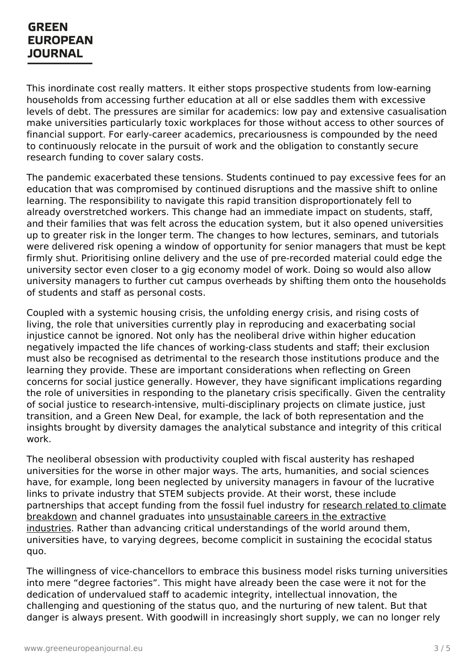This inordinate cost really matters. It either stops prospective students from low-earning households from accessing further education at all or else saddles them with excessive levels of debt. The pressures are similar for academics: low pay and extensive casualisation make universities particularly toxic workplaces for those without access to other sources of financial support. For early-career academics, precariousness is compounded by the need to continuously relocate in the pursuit of work and the obligation to constantly secure research funding to cover salary costs.

The pandemic exacerbated these tensions. Students continued to pay excessive fees for an education that was compromised by continued disruptions and the massive shift to online learning. The responsibility to navigate this rapid transition disproportionately fell to already overstretched workers. This change had an immediate impact on students, staff, and their families that was felt across the education system, but it also opened universities up to greater risk in the longer term. The changes to how lectures, seminars, and tutorials were delivered risk opening a window of opportunity for senior managers that must be kept firmly shut. Prioritising online delivery and the use of pre-recorded material could edge the university sector even closer to a gig economy model of work. Doing so would also allow university managers to further cut campus overheads by shifting them onto the households of students and staff as personal costs.

Coupled with a systemic housing crisis, the unfolding energy crisis, and rising costs of living, the role that universities currently play in reproducing and exacerbating social injustice cannot be ignored. Not only has the neoliberal drive within higher education negatively impacted the life chances of working-class students and staff; their exclusion must also be recognised as detrimental to the research those institutions produce and the learning they provide. These are important considerations when reflecting on Green concerns for social justice generally. However, they have significant implications regarding the role of universities in responding to the planetary crisis specifically. Given the centrality of social justice to research-intensive, multi-disciplinary projects on climate justice, just transition, and a Green New Deal, for example, the lack of both representation and the insights brought by diversity damages the analytical substance and integrity of this critical work.

The neoliberal obsession with productivity coupled with fiscal austerity has reshaped universities for the worse in other major ways. The arts, humanities, and social sciences have, for example, long been neglected by university managers in favour of the lucrative links to private industry that STEM subjects provide. At their worst, these include partnerships that accept funding from the fossil fuel industry for research related to climate breakdown and channel graduates into [unsustainable](https://fossilfreeresearch.com/) careers in the extractive industries. Rather than advancing critical [understandings](https://peopleandplanet.org/fossil-free-careers) of the world around them, universities have, to varying degrees, become complicit in sustaining the ecocidal status quo.

The [willingness](https://www.greeneuropeanjournal.eu) of vice-chancellors to embrace this business model risks turning universities into mere "degree factories". This might have already been the case were it not for the dedication of undervalued staff to academic integrity, intellectual innovation, the challenging and questioning of the status quo, and the nurturing of new talent. But that danger is always present. With goodwill in increasingly short supply, we can no longer rely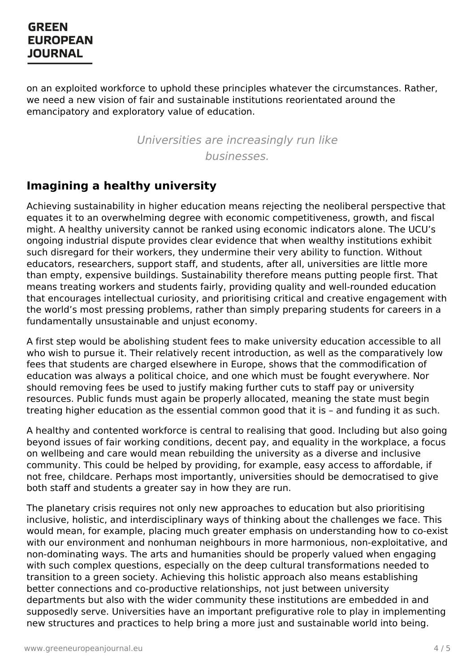on an exploited workforce to uphold these principles whatever the circumstances. Rather, we need a new vision of fair and sustainable institutions reorientated around the emancipatory and exploratory value of education.

> Universities are increasingly run like businesses.

# **Imagining a healthy university**

Achieving sustainability in higher education means rejecting the neoliberal perspective that equates it to an overwhelming degree with economic competitiveness, growth, and fiscal might. A healthy university cannot be ranked using economic indicators alone. The UCU's ongoing industrial dispute provides clear evidence that when wealthy institutions exhibit such disregard for their workers, they undermine their very ability to function. Without educators, researchers, support staff, and students, after all, universities are little more than empty, expensive buildings. Sustainability therefore means putting people first. That means treating workers and students fairly, providing quality and well-rounded education that encourages intellectual curiosity, and prioritising critical and creative engagement with the world's most pressing problems, rather than simply preparing students for careers in a fundamentally unsustainable and unjust economy.

A first step would be abolishing student fees to make university education accessible to all who wish to pursue it. Their relatively recent introduction, as well as the comparatively low fees that students are charged elsewhere in Europe, shows that the commodification of education was always a political choice, and one which must be fought everywhere. Nor should removing fees be used to justify making further cuts to staff pay or university resources. Public funds must again be properly allocated, meaning the state must begin treating higher education as the essential common good that it is – and funding it as such.

A healthy and contented workforce is central to realising that good. Including but also going beyond issues of fair working conditions, decent pay, and equality in the workplace, a focus on wellbeing and care would mean rebuilding the university as a diverse and inclusive community. This could be helped by providing, for example, easy access to affordable, if not free, childcare. Perhaps most importantly, universities should be democratised to give both staff and students a greater say in how they are run.

The planetary crisis requires not only new approaches to education but also prioritising inclusive, holistic, and interdisciplinary ways of thinking about the challenges we face. This would mean, for example, placing much greater emphasis on understanding how to co-exist with our environment and nonhuman neighbours in more harmonious, non-exploitative, and non-dominating ways. The arts and humanities should be properly valued when engaging with such [complex](https://www.greeneuropeanjournal.eu) questions, especially on the deep cultural transformations needed to transition to a green society. Achieving this holistic approach also means establishing better connections and co-productive relationships, not just between university departments but also with the wider community these institutions are embedded in and supposedly serve. Universities have an important prefigurative role to play in implementing new structures and practices to help bring a more just and sustainable world into being.